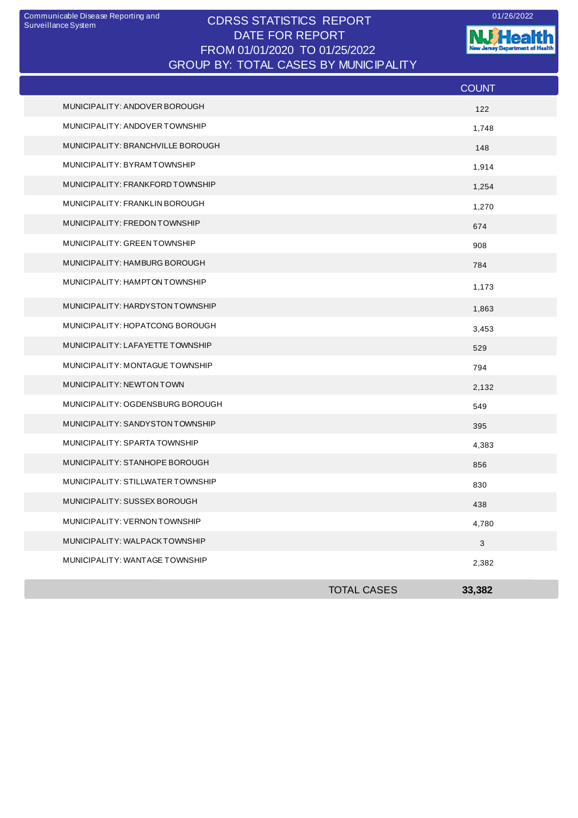## CDRSS STATISTICS REPORT Communicable Disease Reporting and 01/26/2022 DATE FOR REPORT FROM 01/01/2020 TO 01/25/2022 GROUP BY: TOTAL CASES BY MUNICIPALITY

**W**Health nt of Health  $\overline{1}$ Æ. --

|                                   |                    | <b>COUNT</b>              |
|-----------------------------------|--------------------|---------------------------|
| MUNICIPALITY: ANDOVER BOROUGH     |                    | 122                       |
| MUNICIPALITY: ANDOVER TOWNSHIP    |                    | 1,748                     |
| MUNICIPALITY: BRANCHVILLE BOROUGH |                    | 148                       |
| MUNICIPALITY: BYRAM TOWNSHIP      |                    | 1,914                     |
| MUNICIPALITY: FRANKFORD TOWNSHIP  |                    | 1,254                     |
| MUNICIPALITY: FRANKLIN BOROUGH    |                    | 1,270                     |
| MUNICIPALITY: FREDON TOWNSHIP     |                    | 674                       |
| MUNICIPALITY: GREEN TOWNSHIP      |                    | 908                       |
| MUNICIPALITY: HAMBURG BOROUGH     |                    | 784                       |
| MUNICIPALITY: HAMPTON TOWNSHIP    |                    | 1,173                     |
| MUNICIPALITY: HARDYSTON TOWNSHIP  |                    | 1,863                     |
| MUNICIPALITY: HOPATCONG BOROUGH   |                    | 3,453                     |
| MUNICIPALITY: LAFAYETTE TOWNSHIP  |                    | 529                       |
| MUNICIPALITY: MONTAGUE TOWNSHIP   |                    | 794                       |
| MUNICIPALITY: NEWTON TOWN         |                    | 2,132                     |
| MUNICIPALITY: OGDENSBURG BOROUGH  |                    | 549                       |
| MUNICIPALITY: SANDYSTON TOWNSHIP  |                    | 395                       |
| MUNICIPALITY: SPARTA TOWNSHIP     |                    | 4,383                     |
| MUNICIPALITY: STANHOPE BOROUGH    |                    | 856                       |
| MUNICIPALITY: STILLWATER TOWNSHIP |                    | 830                       |
| MUNICIPALITY: SUSSEX BOROUGH      |                    | 438                       |
| MUNICIPALITY: VERNON TOWNSHIP     |                    | 4,780                     |
| MUNICIPALITY: WALPACKTOWNSHIP     |                    | $\ensuremath{\mathsf{3}}$ |
| MUNICIPALITY: WANTAGE TOWNSHIP    |                    | 2,382                     |
|                                   | <b>TOTAL CASES</b> | 33,382                    |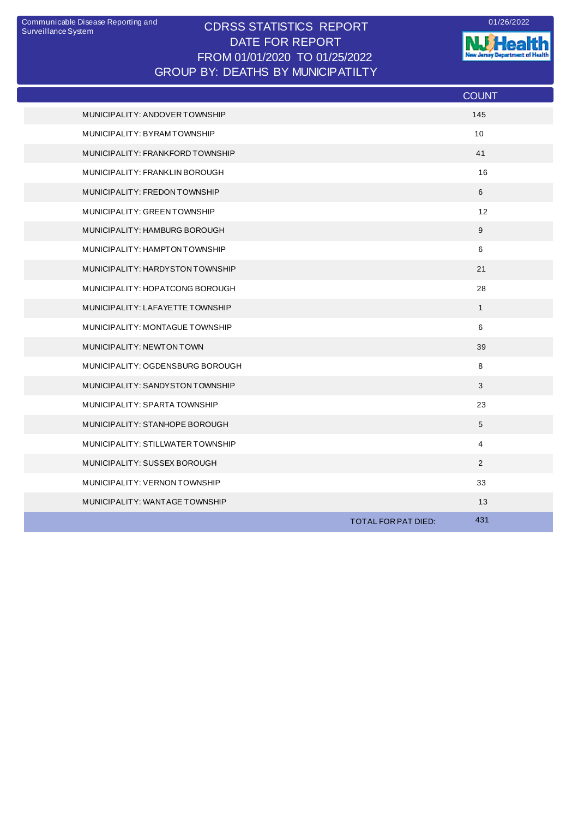## CDRSS STATISTICS REPORT Communicable Disease Reporting and 01/26/2022 DATE FOR REPORT FROM 01/01/2020 TO 01/25/2022 GROUP BY: DEATHS BY MUNICIPATILTY

**W.Health** 

|                                   | <b>COUNT</b>               |
|-----------------------------------|----------------------------|
| MUNICIPALITY: ANDOVER TOWNSHIP    | 145                        |
| MUNICIPALITY: BYRAM TOWNSHIP      | 10                         |
| MUNICIPALITY: FRANKFORD TOWNSHIP  | 41                         |
| MUNICIPALITY: FRANKLIN BOROUGH    | 16                         |
| MUNICIPALITY: FREDON TOWNSHIP     | 6                          |
| MUNICIPALITY: GREEN TOWNSHIP      | 12                         |
| MUNICIPALITY: HAMBURG BOROUGH     | 9                          |
| MUNICIPALITY: HAMPTON TOWNSHIP    | $\,6\,$                    |
| MUNICIPALITY: HARDYSTON TOWNSHIP  | 21                         |
| MUNICIPALITY: HOPATCONG BOROUGH   | 28                         |
| MUNICIPALITY: LAFAYETTE TOWNSHIP  | $\mathbf{1}$               |
| MUNICIPALITY: MONTAGUE TOWNSHIP   | 6                          |
| MUNICIPALITY: NEWTON TOWN         | 39                         |
| MUNICIPALITY: OGDENSBURG BOROUGH  | 8                          |
| MUNICIPALITY: SANDYSTON TOWNSHIP  | 3                          |
| MUNICIPALITY: SPARTA TOWNSHIP     | 23                         |
| MUNICIPALITY: STANHOPE BOROUGH    | $5\phantom{.0}$            |
| MUNICIPALITY: STILLWATER TOWNSHIP | $\overline{4}$             |
| MUNICIPALITY: SUSSEX BOROUGH      | 2                          |
| MUNICIPALITY: VERNON TOWNSHIP     | 33                         |
| MUNICIPALITY: WANTAGE TOWNSHIP    | 13                         |
|                                   | 431<br>TOTAL FOR PAT DIED: |